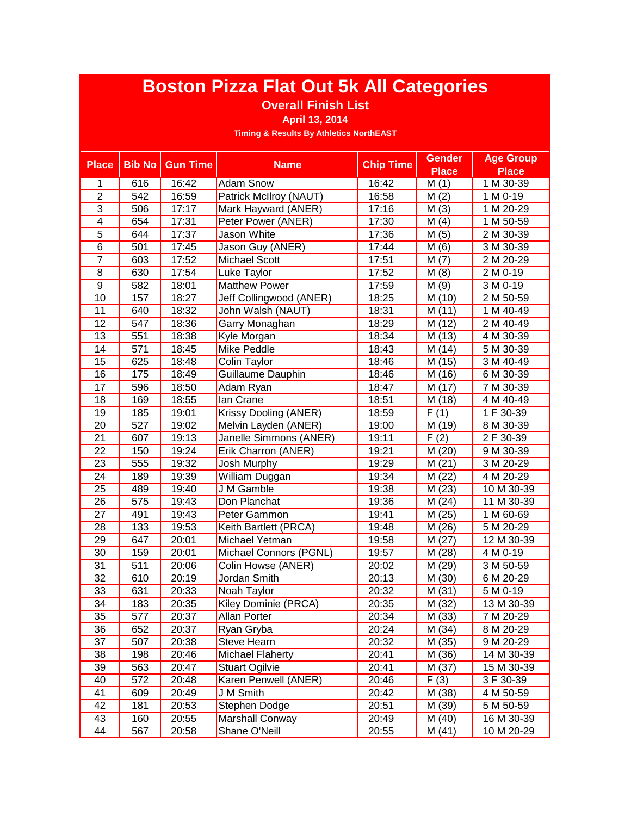### **Overall Finish List**

#### **April 13, 2014**

| <b>Place</b>    | <b>Bib No</b>    | <b>Gun Time</b> | <b>Name</b>             | <b>Chip Time</b> | <b>Gender</b> | <b>Age Group</b> |
|-----------------|------------------|-----------------|-------------------------|------------------|---------------|------------------|
|                 |                  |                 |                         |                  | <b>Place</b>  | <b>Place</b>     |
| 1               | 616              | 16:42           | <b>Adam Snow</b>        | 16:42            | M(1)          | 1 M 30-39        |
| $\overline{2}$  | 542              | 16:59           | Patrick McIlroy (NAUT)  | 16:58            | M(2)          | 1 M 0-19         |
| $\overline{3}$  | 506              | 17:17           | Mark Hayward (ANER)     | 17:16            | M(3)          | 1 M 20-29        |
| 4               | 654              | 17:31           | Peter Power (ANER)      | 17:30            | M(4)          | 1 M 50-59        |
| $\overline{5}$  | 644              | 17:37           | Jason White             | 17:36            | M(5)          | 2 M 30-39        |
| $\overline{6}$  | 501              | 17:45           | Jason Guy (ANER)        | 17:44            | M(6)          | 3 M 30-39        |
| $\overline{7}$  | 603              | 17:52           | <b>Michael Scott</b>    | 17:51            | M(7)          | 2 M 20-29        |
| 8               | 630              | 17:54           | Luke Taylor             | 17:52            | M(8)          | 2 M 0-19         |
| $\overline{9}$  | 582              | 18:01           | <b>Matthew Power</b>    | 17:59            | M(9)          | 3 M 0-19         |
| 10              | 157              | 18:27           | Jeff Collingwood (ANER) | 18:25            | M (10)        | 2 M 50-59        |
| 11              | 640              | 18:32           | John Walsh (NAUT)       | 18:31            | M (11)        | 1 M 40-49        |
| 12              | 547              | 18:36           | Garry Monaghan          | 18:29            | M (12)        | 2 M 40-49        |
| $\overline{13}$ | 551              | 18:38           | Kyle Morgan             | 18:34            | M (13)        | 4 M 30-39        |
| $\overline{14}$ | $\overline{571}$ | 18:45           | <b>Mike Peddle</b>      | 18:43            | M (14)        | 5 M 30-39        |
| 15              | 625              | 18:48           | Colin Taylor            | 18:46            | M (15)        | 3 M 40-49        |
| $\overline{16}$ | 175              | 18:49           | Guillaume Dauphin       | 18:46            | M (16)        | 6 M 30-39        |
| $\overline{17}$ | 596              | 18:50           | Adam Ryan               | 18:47            | M(17)         | 7 M 30-39        |
| $\overline{18}$ | 169              | 18:55           | lan Crane               | 18:51            | M(18)         | 4 M 40-49        |
| 19              | 185              | 19:01           | Krissy Dooling (ANER)   | 18:59            | F(1)          | 1 F 30-39        |
| 20              | 527              | 19:02           | Melvin Layden (ANER)    | 19:00            | M (19)        | 8 M 30-39        |
| 21              | 607              | 19:13           | Janelle Simmons (ANER)  | 19:11            | F(2)          | 2 F 30-39        |
| 22              | 150              | 19:24           | Erik Charron (ANER)     | 19:21            | M (20)        | 9 M 30-39        |
| $\overline{23}$ | 555              | 19:32           | Josh Murphy             | 19:29            | M(21)         | 3 M 20-29        |
| 24              | 189              | 19:39           | William Duggan          | 19:34            | M (22)        | 4 M 20-29        |
| $\overline{25}$ | 489              | 19:40           | J M Gamble              | 19:38            | M (23)        | 10 M 30-39       |
| 26              | 575              | 19:43           | Don Planchat            | 19:36            | M(24)         | 11 M 30-39       |
| $\overline{27}$ | 491              | 19:43           | Peter Gammon            | 19:41            | M (25)        | 1 M 60-69        |
| 28              | 133              | 19:53           | Keith Bartlett (PRCA)   | 19:48            | M (26)        | 5 M 20-29        |
| 29              | 647              | 20:01           | Michael Yetman          | 19:58            | M (27)        | 12 M 30-39       |
| 30              | 159              | 20:01           | Michael Connors (PGNL)  | 19:57            | M (28)        | 4 M 0-19         |
| $\overline{31}$ | 511              | 20:06           | Colin Howse (ANER)      | 20:02            | M (29)        | 3 M 50-59        |
| 32              | 610              | 20:19           | Jordan Smith            | 20:13            | M (30)        | 6 M 20-29        |
| 33              | 631              | 20:33           | Noah Taylor             | 20:32            | M (31)        | 5 M 0-19         |
| $\overline{34}$ | 183              | 20:35           | Kiley Dominie (PRCA)    | 20:35            | M (32)        | 13 M 30-39       |
| $\overline{35}$ | $\overline{577}$ | 20:37           | Allan Porter            | 20:34            | M(33)         | 7 M 20-29        |
| 36              | 652              | 20:37           | Ryan Gryba              | 20:24            | M (34)        | 8 M 20-29        |
| 37              | 507              | 20:38           | Steve Hearn             | 20:32            | M (35)        | 9 M 20-29        |
| 38              | 198              | 20:46           | <b>Michael Flaherty</b> | 20:41            | M (36)        | 14 M 30-39       |
| 39              | 563              | 20:47           | <b>Stuart Ogilvie</b>   | 20:41            | M (37)        | 15 M 30-39       |
| 40              | 572              | 20:48           | Karen Penwell (ANER)    | 20:46            | F(3)          | 3 F 30-39        |
| 41              | 609              | 20:49           | J M Smith               | 20:42            | M (38)        | 4 M 50-59        |
| 42              | 181              | 20:53           | Stephen Dodge           | 20:51            | M (39)        | 5 M 50-59        |
| 43              | 160              | 20:55           | <b>Marshall Conway</b>  | 20:49            | M (40)        | 16 M 30-39       |
| 44              | 567              | 20:58           | Shane O'Neill           | 20:55            | M(41)         | 10 M 20-29       |
|                 |                  |                 |                         |                  |               |                  |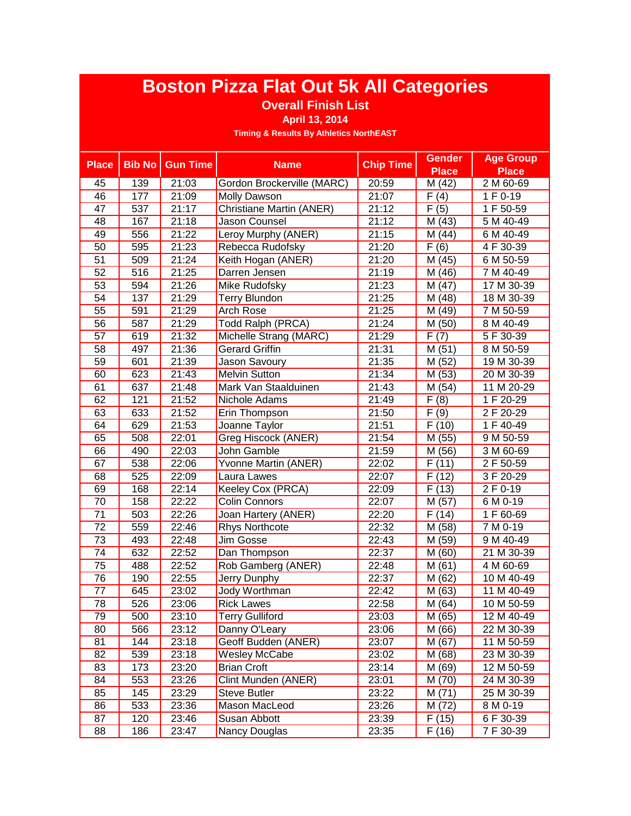### **Overall Finish List**

**April 13, 2014**

| <b>Place</b>    | <b>Bib No</b>    | <b>Gun Time</b> | <b>Name</b>                | <b>Chip Time</b> | <b>Gender</b>     | <b>Age Group</b> |
|-----------------|------------------|-----------------|----------------------------|------------------|-------------------|------------------|
|                 |                  |                 |                            |                  | <b>Place</b>      | Place            |
| 45              | 139              | 21:03           | Gordon Brockerville (MARC) | 20:59            | M (42)            | 2 M 60-69        |
| 46              | 177              | 21:09           | Molly Dawson               | 21:07            | $\overline{F}(4)$ | 1 F 0-19         |
| 47              | 537              | 21:17           | Christiane Martin (ANER)   | 21:12            | F(5)              | 1 F 50-59        |
| 48              | 167              | 21:18           | Jason Counsel              | 21:12            | M (43)            | 5 M 40-49        |
| 49              | 556              | 21:22           | Leroy Murphy (ANER)        | 21:15            | M (44)            | 6 M 40-49        |
| 50              | 595              | 21:23           | Rebecca Rudofsky           | 21:20            | F(6)              | 4 F 30-39        |
| $\overline{51}$ | 509              | 21:24           | Keith Hogan (ANER)         | 21:20            | M (45)            | 6 M 50-59        |
| $\overline{52}$ | 516              | 21:25           | Darren Jensen              | 21:19            | M (46)            | 7 M 40-49        |
| $\overline{53}$ | 594              | 21:26           | Mike Rudofsky              | 21:23            | (47)<br>M         | 17 M 30-39       |
| $\overline{54}$ | 137              | 21:29           | Terry Blundon              | 21:25            | M (48)            | 18 M 30-39       |
| $\overline{55}$ | 591              | 21:29           | Arch Rose                  | 21:25            | M (49)            | 7 M 50-59        |
| 56              | 587              | 21:29           | <b>Todd Ralph (PRCA)</b>   | 21:24            | M (50)            | 8 M 40-49        |
| $\overline{57}$ | 619              | 21:32           | Michelle Strang (MARC)     | 21:29            | F(7)              | 5 F 30-39        |
| $\overline{58}$ | 497              | 21:36           | <b>Gerard Griffin</b>      | 21:31            | M(51)             | 8 M 50-59        |
| $\overline{59}$ | 601              | 21:39           | <b>Jason Savoury</b>       | 21:35            | M (52)            | 19 M 30-39       |
| 60              | 623              | 21:43           | <b>Melvin Sutton</b>       | 21:34            | M (53)            | 20 M 30-39       |
| 61              | 637              | 21:48           | Mark Van Staalduinen       | 21:43            | M(54)             | 11 M 20-29       |
| 62              | $\overline{121}$ | 21:52           | Nichole Adams              | 21:49            | $\overline{F(8)}$ | 1 F 20-29        |
| 63              | 633              | 21:52           | Erin Thompson              | 21:50            | F(9)              | 2 F 20-29        |
| 64              | 629              | 21:53           | Joanne Taylor              | 21:51            | F(10)             | 1 F 40-49        |
| 65              | 508              | 22:01           | Greg Hiscock (ANER)        | 21:54            | M (55)            | 9 M 50-59        |
| 66              | 490              | 22:03           | John Gamble                | 21:59            | M (56)            | 3 M 60-69        |
| 67              | 538              | 22:06           | Yvonne Martin (ANER)       | 22:02            | F(11)             | 2 F 50-59        |
| 68              | 525              | 22:09           | Laura Lawes                | 22:07            | F(12)             | 3 F 20-29        |
| 69              | 168              | 22:14           | Keeley Cox (PRCA)          | 22:09            | F(13)             | 2 F 0-19         |
| 70              | 158              | 22:22           | <b>Colin Connors</b>       | 22:07            | (57)<br>M         | 6 M 0-19         |
| $\overline{71}$ | 503              | 22:26           | Joan Hartery (ANER)        | 22:20            | F(14)             | 1 F 60-69        |
| 72              | 559              | 22:46           | <b>Rhys Northcote</b>      | 22:32            | (58)<br>Μ         | 7 M 0-19         |
| 73              | 493              | 22:48           | Jim Gosse                  | 22:43            | M (59)            | 9 M 40-49        |
| 74              | 632              | 22:52           | Dan Thompson               | 22:37            | M<br>(60)         | 21 M 30-39       |
| $\overline{75}$ | 488              | 22:52           | Rob Gamberg (ANER)         | 22:48            | M(61)             | 4 M 60-69        |
| 76              | 190              | 22:55           | Jerry Dunphy               | 22:37            | M(62)             | 10 M 40-49       |
| 77              | 645              | 23:02           | Jody Worthman              | 22:42            | M (63)            | 11 M 40-49       |
| 78              | 526              | 23:06           | <b>Rick Lawes</b>          | 22:58            | M(64)             | 10 M 50-59       |
| $\overline{79}$ | 500              | 23:10           | <b>Terry Gulliford</b>     | 23:03            | M(65)             | 12 M 40-49       |
| 80              | 566              | 23:12           | Danny O'Leary              | 23:06            | M (66)            | 22 M 30-39       |
| 81              | 144              | 23:18           | Geoff Budden (ANER)        | 23:07            | M (67)            | 11 M 50-59       |
| 82              | 539              | 23:18           | Wesley McCabe              | 23:02            | M (68)            | 23 M 30-39       |
| 83              | 173              | 23:20           | <b>Brian Croft</b>         | 23:14            | M (69)            | 12 M 50-59       |
| 84              | 553              | 23:26           | Clint Munden (ANER)        | 23:01            | M (70)            | 24 M 30-39       |
| 85              | 145              | 23:29           | <b>Steve Butler</b>        | 23:22            | M(71)             | 25 M 30-39       |
| 86              | 533              | 23:36           | Mason MacLeod              | 23:26            | M (72)            | 8 M 0-19         |
| 87              | 120              | 23:46           | Susan Abbott               | 23:39            | F(15)             | 6 F 30-39        |
| 88              | 186              | 23:47           | <b>Nancy Douglas</b>       | 23:35            | F(16)             | 7 F 30-39        |
|                 |                  |                 |                            |                  |                   |                  |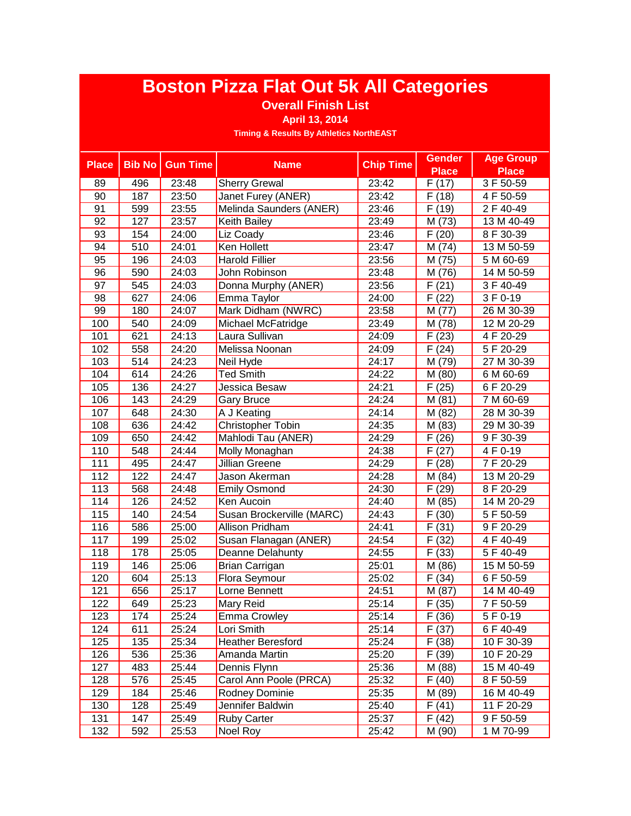### **Overall Finish List**

**April 13, 2014**

| <b>Place</b>    | <b>Bib No</b>    | <b>Gun Time</b> | <b>Name</b>               | <b>Chip Time</b> | <b>Gender</b> | <b>Age Group</b> |
|-----------------|------------------|-----------------|---------------------------|------------------|---------------|------------------|
|                 |                  |                 |                           |                  | <b>Place</b>  | <b>Place</b>     |
| 89              | 496              | 23:48           | <b>Sherry Grewal</b>      | 23:42            | F(17)         | 3 F 50-59        |
| 90              | 187              | 23:50           | Janet Furey (ANER)        | 23:42            | F(18)         | 4 F 50-59        |
| 91              | 599              | 23:55           | Melinda Saunders (ANER)   | 23:46            | F(19)         | 2 F 40-49        |
| 92              | 127              | 23:57           | Keith Bailey              | 23:49            | M (73)        | 13 M 40-49       |
| 93              | 154              | 24:00           | Liz Coady                 | 23:46            | F(20)         | 8 F 30-39        |
| 94              | 510              | 24:01           | Ken Hollett               | 23:47            | M (74)        | 13 M 50-59       |
| 95              | 196              | 24:03           | <b>Harold Fillier</b>     | 23:56            | M (75)        | 5 M 60-69        |
| 96              | 590              | 24:03           | John Robinson             | 23:48            | M (76)        | 14 M 50-59       |
| 97              | 545              | 24:03           | Donna Murphy (ANER)       | 23:56            | F(21)         | 3 F 40-49        |
| 98              | 627              | 24:06           | Emma Taylor               | 24:00            | F(22)         | 3 F 0-19         |
| 99              | 180              | 24:07           | Mark Didham (NWRC)        | 23:58            | M (77)        | 26 M 30-39       |
| 100             | 540              | 24:09           | Michael McFatridge        | 23:49            | M (78)        | 12 M 20-29       |
| 101             | 621              | 24:13           | Laura Sullivan            | 24:09            | F(23)         | 4 F 20-29        |
| 102             | 558              | 24:20           | Melissa Noonan            | 24:09            | F(24)         | 5 F 20-29        |
| 103             | $\overline{514}$ | 24:23           | <b>Neil Hyde</b>          | 24:17            | M (79)        | 27 M 30-39       |
| 104             | 614              | 24:26           | <b>Ted Smith</b>          | 24:22            | M (80)        | 6 M 60-69        |
| 105             | 136              | 24:27           | Jessica Besaw             | 24:21            | F(25)         | 6 F 20-29        |
| 106             | 143              | 24:29           | <b>Gary Bruce</b>         | 24:24            | M(81)         | 7 M 60-69        |
| 107             | 648              | 24:30           | A J Keating               | 24:14            | M (82)        | 28 M 30-39       |
| 108             | 636              | 24:42           | <b>Christopher Tobin</b>  | 24:35            | M (83)        | 29 M 30-39       |
| 109             | 650              | 24:42           | Mahlodi Tau (ANER)        | 24:29            | F(26)         | 9 F 30-39        |
| 110             | 548              | 24:44           | Molly Monaghan            | 24:38            | F(27)         | 4 F 0-19         |
| 111             | 495              | 24:47           | <b>Jillian Greene</b>     | 24:29            | F(28)         | 7F 20-29         |
| $\frac{1}{112}$ | 122              | 24:47           | Jason Akerman             | 24:28            | M (84)        | 13 M 20-29       |
| 113             | 568              | 24:48           | <b>Emily Osmond</b>       | 24:30            | F(29)         | 8 F 20-29        |
| 114             | 126              | 24:52           | Ken Aucoin                | 24:40            | M (85)        | 14 M 20-29       |
| 115             | 140              | 24:54           | Susan Brockerville (MARC) | 24:43            | F(30)         | 5F 50-59         |
| 116             | 586              | 25:00           | Allison Pridham           | 24:41            | F(31)         | 9F 20-29         |
| 117             | 199              | 25:02           | Susan Flanagan (ANER)     | 24:54            | F(32)         | 4 F 40-49        |
| 118             | 178              | 25:05           | Deanne Delahunty          | 24:55            | F(33)         | 5 F 40-49        |
| 119             | 146              | 25:06           | Brian Carrigan            | 25:01            | M (86)        | 15 M 50-59       |
| 120             | 604              | 25:13           | Flora Seymour             | 25:02            | F(34)         | 6F 50-59         |
| 121             | 656              | 25:17           | Lorne Bennett             | 24:51            | M (87)        | 14 M 40-49       |
| 122             | 649              | 25:23           | Mary Reid                 | 25:14            | F(35)         | 7F 50-59         |
| 123             | 174              | 25:24           | Emma Crowley              | 25:14            | F(36)         | 5 F 0-19         |
| 124             | 611              | 25:24           | Lori Smith                | 25:14            | F(37)         | 6 F 40-49        |
| 125             | 135              | 25:34           | <b>Heather Beresford</b>  | 25:24            | F(38)         | 10 F 30-39       |
| 126             | 536              | 25:36           | Amanda Martin             | 25:20            | F(39)         | 10 F 20-29       |
| 127             | 483              | 25:44           | Dennis Flynn              | 25:36            | M (88)        | 15 M 40-49       |
| 128             | 576              | 25:45           | Carol Ann Poole (PRCA)    | 25:32            | F(40)         | $8F50-59$        |
| 129             | 184              | 25:46           | Rodney Dominie            | 25:35            | M (89)        | 16 M 40-49       |
| 130             | 128              | 25:49           | Jennifer Baldwin          | 25:40            | F(41)         | 11 F 20-29       |
| 131             | 147              | 25:49           | <b>Ruby Carter</b>        | 25:37            | F(42)         | 9 F 50-59        |
| 132             | 592              | 25:53           | Noel Roy                  | 25:42            | M (90)        | 1 M 70-99        |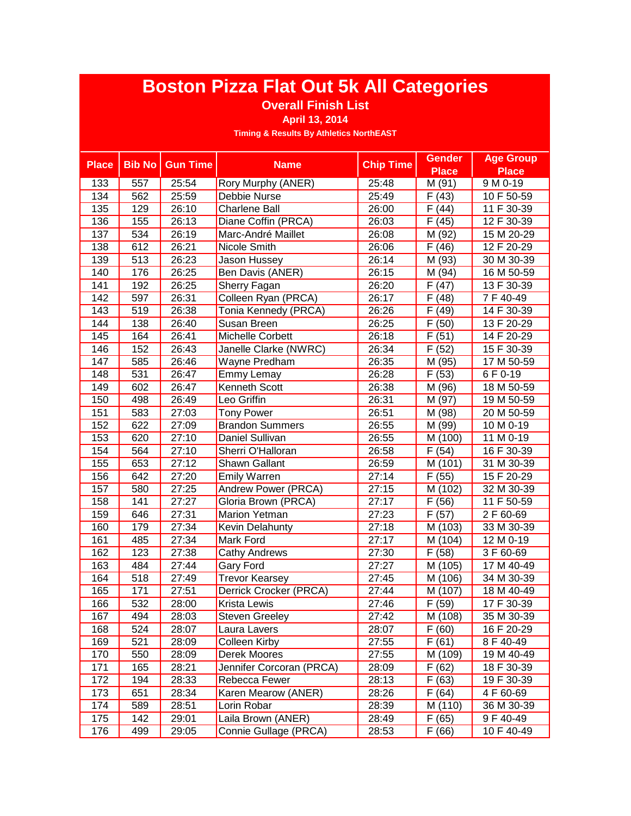### **Overall Finish List**

**April 13, 2014**

| <b>Place</b> | <b>Bib No</b> | <b>Gun Time</b> | <b>Name</b>               | <b>Chip Time</b> | <b>Gender</b>        | <b>Age Group</b> |
|--------------|---------------|-----------------|---------------------------|------------------|----------------------|------------------|
|              |               |                 |                           |                  | <b>Place</b>         | <b>Place</b>     |
| 133          | 557           | 25:54           | <b>Rory Murphy (ANER)</b> | 25:48            | M (91)               | 9 M 0-19         |
| 134          | 562           | 25:59           | Debbie Nurse              | 25:49            | F(43)                | 10 F 50-59       |
| 135          | 129           | 26:10           | <b>Charlene Ball</b>      | 26:00            | F(44)                | 11 F 30-39       |
| 136          | 155           | 26:13           | Diane Coffin (PRCA)       | 26:03            | F(45)                | 12 F 30-39       |
| 137          | 534           | 26:19           | Marc-André Maillet        | 26:08            | M (92)               | 15 M 20-29       |
| 138          | 612           | 26:21           | Nicole Smith              | 26:06            | F(46)                | 12 F 20-29       |
| 139          | 513           | 26:23           | Jason Hussey              | 26:14            | M (93)               | 30 M 30-39       |
| 140          | 176           | 26:25           | Ben Davis (ANER)          | 26:15            | M (94)               | 16 M 50-59       |
| 141          | 192           | 26:25           | Sherry Fagan              | 26:20            | F(47)                | 13 F 30-39       |
| 142          | 597           | 26:31           | Colleen Ryan (PRCA)       | 26:17            | F(48)                | 7 F 40-49        |
| 143          | 519           | 26:38           | Tonia Kennedy (PRCA)      | 26:26            | F(49)                | 14 F 30-39       |
| 144          | 138           | 26:40           | Susan Breen               | 26:25            | F(50)                | 13 F 20-29       |
| 145          | 164           | 26:41           | Michelle Corbett          | 26:18            | F(51)                | 14 F 20-29       |
| 146          | 152           | 26:43           | Janelle Clarke (NWRC)     | 26:34            | F(52)                | 15 F 30-39       |
| 147          | 585           | 26:46           | Wayne Predham             | 26:35            | M (95)               | 17 M 50-59       |
| 148          | 531           | 26:47           | Emmy Lemay                | 26:28            | F(53)                | 6 F 0-19         |
| 149          | 602           | 26:47           | <b>Kenneth Scott</b>      | 26:38            | M (96)               | 18 M 50-59       |
| 150          | 498           | 26:49           | Leo Griffin               | 26:31            | M(97)                | 19 M 50-59       |
| 151          | 583           | 27:03           | <b>Tony Power</b>         | 26:51            | M (98)               | 20 M 50-59       |
| 152          | 622           | 27:09           | <b>Brandon Summers</b>    | 26:55            | M (99)               | 10 M 0-19        |
| 153          | 620           | 27:10           | Daniel Sullivan           | 26:55            | M (100)              | 11 M 0-19        |
| 154          | 564           | 27:10           | Sherri O'Halloran         | 26:58            | F(54)                | 16 F 30-39       |
| 155          | 653           | 27:12           | <b>Shawn Gallant</b>      | 26:59            | M (101)              | 31 M 30-39       |
| 156          | 642           | 27:20           | <b>Emily Warren</b>       | 27:14            | F(55)                | 15 F 20-29       |
| 157          | 580           | 27:25           | Andrew Power (PRCA)       | 27:15            | $\overline{M}$ (102) | 32 M 30-39       |
| 158          | 141           | 27:27           | Gloria Brown (PRCA)       | 27:17            | F(56)                | 11 F 50-59       |
| 159          | 646           | 27:31           | Marion Yetman             | 27:23            | F(57)                | 2 F 60-69        |
| 160          | 179           | 27:34           | Kevin Delahunty           | 27:18            | M (103)              | 33 M 30-39       |
| 161          | 485           | 27:34           | Mark Ford                 | 27:17            | M (104)              | 12 M 0-19        |
| 162          | 123           | 27:38           | <b>Cathy Andrews</b>      | 27:30            | F(58)                | 3 F 60-69        |
| 163          | 484           | 27:44           | Gary Ford                 | 27:27            | M (105)              | 17 M 40-49       |
| 164          | 518           | 27:49           | <b>Trevor Kearsey</b>     | 27:45            | M (106)              | 34 M 30-39       |
| 165          | 171           | 27:51           | Derrick Crocker (PRCA)    | 27:44            | M (107)              | 18 M 40-49       |
| 166          | 532           | 28:00           | <b>Krista Lewis</b>       | 27:46            | F(59)                | 17 F 30-39       |
| 167          | 494           | 28:03           | <b>Steven Greeley</b>     | 27:42            | M(108)               | 35 M 30-39       |
| 168          | 524           | 28:07           | Laura Lavers              | 28:07            | F(60)                | 16 F 20-29       |
| 169          | 521           | 28:09           | <b>Colleen Kirby</b>      | 27:55            | F(61)                | 8 F 40-49        |
| 170          | 550           | 28:09           | Derek Moores              | 27:55            | M (109)              | 19 M 40-49       |
| 171          | 165           | 28:21           | Jennifer Corcoran (PRCA)  | 28:09            | F(62)                | 18 F 30-39       |
| 172          | 194           | 28:33           | Rebecca Fewer             | 28:13            | F(63)                | 19 F 30-39       |
| 173          | 651           | 28:34           | Karen Mearow (ANER)       | 28:26            | F(64)                | 4 F 60-69        |
| 174          | 589           | 28:51           | Lorin Robar               | 28:39            | M (110)              | 36 M 30-39       |
| 175          | 142           | 29:01           | Laila Brown (ANER)        | 28:49            | F(65)                | 9 F 40-49        |
| 176          | 499           | 29:05           | Connie Gullage (PRCA)     | 28:53            | F(66)                | 10 F 40-49       |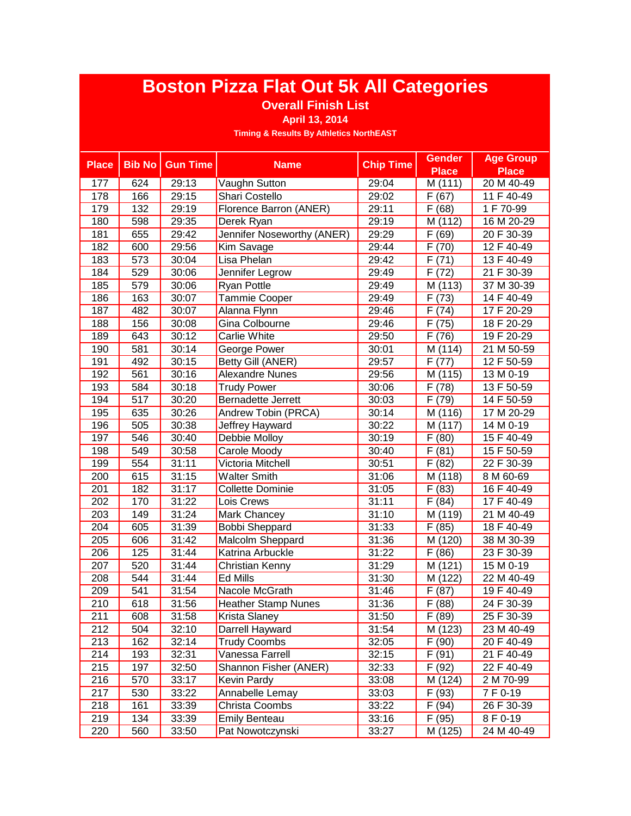### **Overall Finish List**

**April 13, 2014**

| <b>Place</b>     | <b>Bib No</b> | <b>Gun Time</b> | <b>Name</b>                | <b>Chip Time</b> | <b>Gender</b>       | <b>Age Group</b> |
|------------------|---------------|-----------------|----------------------------|------------------|---------------------|------------------|
|                  |               |                 |                            |                  | <b>Place</b>        | <b>Place</b>     |
| 177              | 624           | 29:13           | Vaughn Sutton              | 29:04            | M (111)             | 20 M 40-49       |
| 178              | 166           | 29:15           | Shari Costello             | 29:02            | F(67)               | 11 F 40-49       |
| 179              | 132           | 29:19           | Florence Barron (ANER)     | 29:11            | $\overline{F(68)}$  | 1 F 70-99        |
| 180              | 598           | 29:35           | Derek Ryan                 | 29:19            | M (112)             | 16 M 20-29       |
| 181              | 655           | 29:42           | Jennifer Noseworthy (ANER) | 29:29            | F(69)               | 20 F 30-39       |
| 182              | 600           | 29:56           | Kim Savage                 | 29:44            | F(70)               | 12 F 40-49       |
| 183              | 573           | 30:04           | Lisa Phelan                | 29:42            | F(71)               | 13 F 40-49       |
| 184              | 529           | 30:06           | Jennifer Legrow            | 29:49            | F(72)               | 21 F 30-39       |
| 185              | 579           | 30:06           | Ryan Pottle                | 29:49            | M (113)             | 37 M 30-39       |
| 186              | 163           | 30:07           | Tammie Cooper              | 29:49            | F(73)               | 14 F 40-49       |
| 187              | 482           | 30:07           | Alanna Flynn               | 29:46            | F(74)               | 17 F 20-29       |
| 188              | 156           | 30:08           | Gina Colbourne             | 29:46            | F(75)               | 18 F 20-29       |
| 189              | 643           | 30:12           | Carlie White               | 29:50            | F(76)               | 19 F 20-29       |
| 190              | 581           | 30:14           | George Power               | 30:01            | M (114)             | 21 M 50-59       |
| 191              | 492           | 30:15           | <b>Betty Gill (ANER)</b>   | 29:57            | F(77)               | 12 F 50-59       |
| 192              | 561           | 30:16           | <b>Alexandre Nunes</b>     | 29:56            | $\overline{M(115)}$ | 13 M 0-19        |
| 193              | 584           | 30:18           | <b>Trudy Power</b>         | 30:06            | F(78)               | 13 F 50-59       |
| 194              | 517           | 30:20           | <b>Bernadette Jerrett</b>  | 30:03            | F(79)               | 14 F 50-59       |
| 195              | 635           | 30:26           | Andrew Tobin (PRCA)        | 30:14            | M (116)             | 17 M 20-29       |
| 196              | 505           | 30:38           | Jeffrey Hayward            | 30:22            | M (117)             | 14 M 0-19        |
| 197              | 546           | 30:40           | Debbie Molloy              | 30:19            | F(80)               | 15 F 40-49       |
| 198              | 549           | 30:58           | Carole Moody               | 30:40            | F(81)               | 15 F 50-59       |
| 199              | 554           | 31:11           | Victoria Mitchell          | 30:51            | $\overline{F}$ (82) | 22 F 30-39       |
| 200              | 615           | 31:15           | <b>Walter Smith</b>        | 31:06            | M (118)             | 8 M 60-69        |
| 201              | 182           | 31:17           | <b>Collette Dominie</b>    | 31:05            | F(83)               | 16 F 40-49       |
| 202              | 170           | 31:22           | Lois Crews                 | 31:11            | F(84)               | 17 F 40-49       |
| 203              | 149           | 31:24           | Mark Chancey               | 31:10            | M (119)             | 21 M 40-49       |
| 204              | 605           | 31:39           | <b>Bobbi Sheppard</b>      | 31:33            | F(85)               | 18 F 40-49       |
| 205              | 606           | 31:42           | Malcolm Sheppard           | 31:36            | M (120)             | 38 M 30-39       |
| 206              | 125           | 31:44           | Katrina Arbuckle           | 31:22            | F(86)               | 23 F 30-39       |
| 207              | 520           | 31:44           | Christian Kenny            | 31:29            | M (121)             | 15 M 0-19        |
| 208              | 544           | 31:44           | Ed Mills                   | 31:30            | M (122)             | 22 M 40-49       |
| 209              | 541           | 31:54           | Nacole McGrath             | 31:46            | F(87)               | 19 F 40-49       |
| 210              | 618           | 31:56           | <b>Heather Stamp Nunes</b> | 31:36            | $\overline{F}$ (88) | 24 F 30-39       |
| $\overline{211}$ | 608           | 31:58           | Krista Slaney              | 31:50            | F(89)               | 25 F 30-39       |
| 212              | 504           | 32:10           | Darrell Hayward            | 31:54            | M (123)             | 23 M 40-49       |
| 213              | 162           | 32:14           | <b>Trudy Coombs</b>        | 32:05            | F(90)               | 20 F 40-49       |
| 214              | 193           | 32:31           | Vanessa Farrell            | 32:15            | F(91)               | 21 F 40-49       |
| 215              | 197           | 32:50           | Shannon Fisher (ANER)      | 32:33            | F(92)               | 22 F 40-49       |
| 216              | 570           | 33:17           | Kevin Pardy                | 33:08            | M (124)             | 2 M 70-99        |
| 217              | 530           | 33:22           | Annabelle Lemay            | 33:03            | F(93)               | 7 F 0-19         |
| 218              | 161           | 33:39           | Christa Coombs             | 33:22            | F(94)               | 26 F 30-39       |
| 219              | 134           | 33:39           | <b>Emily Benteau</b>       | 33:16            | F(95)               | 8 F 0-19         |
| 220              | 560           | 33:50           | Pat Nowotczynski           | 33:27            | M (125)             | 24 M 40-49       |